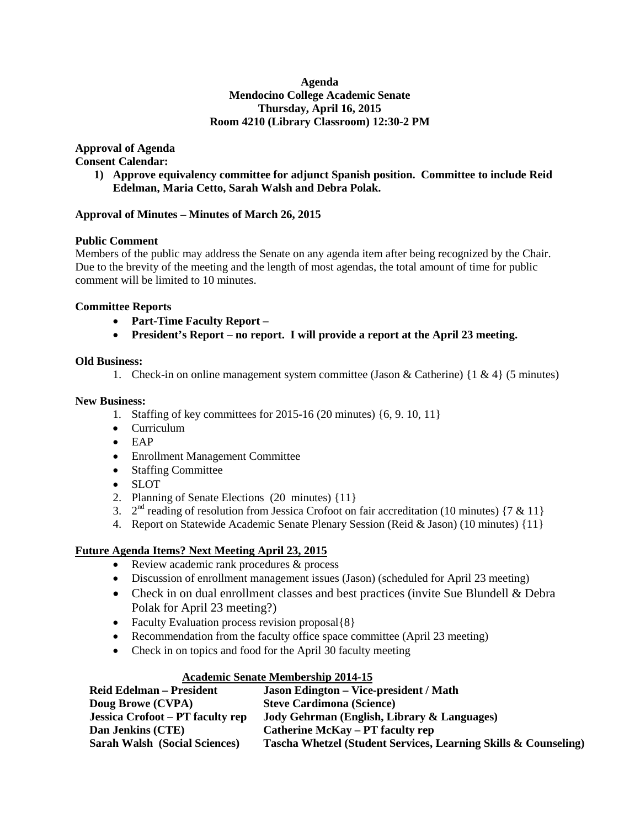## **Agenda Mendocino College Academic Senate Thursday, April 16, 2015 Room 4210 (Library Classroom) 12:30-2 PM**

**Approval of Agenda** 

**Consent Calendar:**

**1) Approve equivalency committee for adjunct Spanish position. Committee to include Reid Edelman, Maria Cetto, Sarah Walsh and Debra Polak.**

## **Approval of Minutes – Minutes of March 26, 2015**

# **Public Comment**

Members of the public may address the Senate on any agenda item after being recognized by the Chair. Due to the brevity of the meeting and the length of most agendas, the total amount of time for public comment will be limited to 10 minutes.

# **Committee Reports**

- **Part-Time Faculty Report –**
- **President's Report – no report. I will provide a report at the April 23 meeting.**

## **Old Business:**

1. Check-in on online management system committee (Jason & Catherine)  $\{1 \& 4\}$  (5 minutes)

## **New Business:**

- 1. Staffing of key committees for 2015-16 (20 minutes) {6, 9. 10, 11}
- Curriculum
- EAP
- Enrollment Management Committee
- Staffing Committee
- SLOT
- 2. Planning of Senate Elections (20 minutes) {11}
- 3.  $2<sup>nd</sup>$  reading of resolution from Jessica Crofoot on fair accreditation (10 minutes) {7 & 11}
- 4. Report on Statewide Academic Senate Plenary Session (Reid & Jason) (10 minutes) {11}

## **Future Agenda Items? Next Meeting April 23, 2015**

- Review academic rank procedures & process
- Discussion of enrollment management issues (Jason) (scheduled for April 23 meeting)
- Check in on dual enrollment classes and best practices (invite Sue Blundell & Debra Polak for April 23 meeting?)
- Faculty Evaluation process revision proposal {8}
- Recommendation from the faculty office space committee (April 23 meeting)
- Check in on topics and food for the April 30 faculty meeting

# **Academic Senate Membership 2014-15**

| <b>Jason Edington – Vice-president / Math</b>                   |
|-----------------------------------------------------------------|
| <b>Steve Cardimona (Science)</b>                                |
| Jody Gehrman (English, Library & Languages)                     |
| Catherine McKay – PT faculty rep                                |
| Tascha Whetzel (Student Services, Learning Skills & Counseling) |
|                                                                 |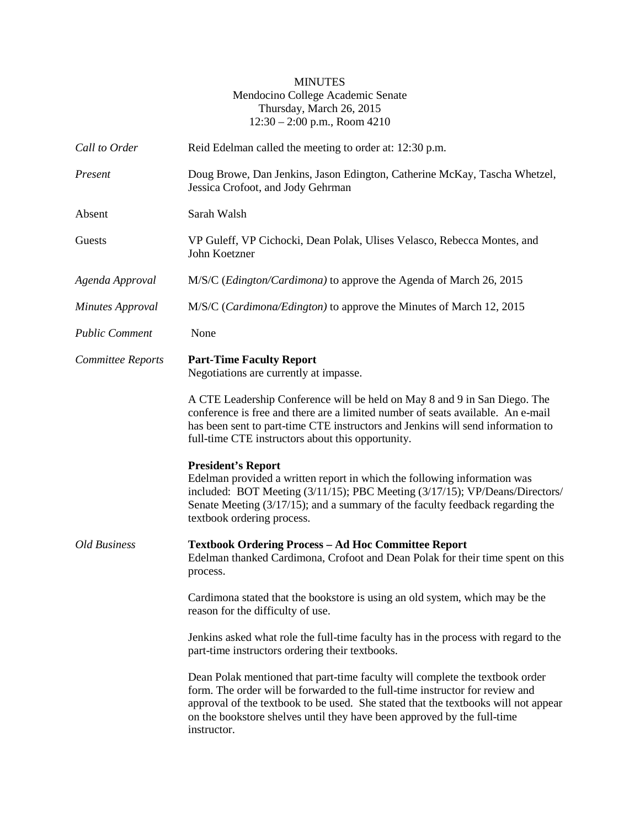## MINUTES Mendocino College Academic Senate Thursday, March 26, 2015 12:30 – 2:00 p.m., Room 4210

| Call to Order           | Reid Edelman called the meeting to order at: 12:30 p.m.                                                                                                                                                                                                                                                                                      |
|-------------------------|----------------------------------------------------------------------------------------------------------------------------------------------------------------------------------------------------------------------------------------------------------------------------------------------------------------------------------------------|
| Present                 | Doug Browe, Dan Jenkins, Jason Edington, Catherine McKay, Tascha Whetzel,<br>Jessica Crofoot, and Jody Gehrman                                                                                                                                                                                                                               |
| Absent                  | Sarah Walsh                                                                                                                                                                                                                                                                                                                                  |
| Guests                  | VP Guleff, VP Cichocki, Dean Polak, Ulises Velasco, Rebecca Montes, and<br>John Koetzner                                                                                                                                                                                                                                                     |
| Agenda Approval         | M/S/C (Edington/Cardimona) to approve the Agenda of March 26, 2015                                                                                                                                                                                                                                                                           |
| <b>Minutes Approval</b> | M/S/C (Cardimona/Edington) to approve the Minutes of March 12, 2015                                                                                                                                                                                                                                                                          |
| <b>Public Comment</b>   | None                                                                                                                                                                                                                                                                                                                                         |
| Committee Reports       | <b>Part-Time Faculty Report</b><br>Negotiations are currently at impasse.                                                                                                                                                                                                                                                                    |
|                         | A CTE Leadership Conference will be held on May 8 and 9 in San Diego. The<br>conference is free and there are a limited number of seats available. An e-mail<br>has been sent to part-time CTE instructors and Jenkins will send information to<br>full-time CTE instructors about this opportunity.                                         |
|                         | <b>President's Report</b><br>Edelman provided a written report in which the following information was<br>included: BOT Meeting (3/11/15); PBC Meeting (3/17/15); VP/Deans/Directors/<br>Senate Meeting (3/17/15); and a summary of the faculty feedback regarding the<br>textbook ordering process.                                          |
| <b>Old Business</b>     | <b>Textbook Ordering Process - Ad Hoc Committee Report</b><br>Edelman thanked Cardimona, Crofoot and Dean Polak for their time spent on this<br>process.                                                                                                                                                                                     |
|                         | Cardimona stated that the bookstore is using an old system, which may be the<br>reason for the difficulty of use.                                                                                                                                                                                                                            |
|                         | Jenkins asked what role the full-time faculty has in the process with regard to the<br>part-time instructors ordering their textbooks.                                                                                                                                                                                                       |
|                         | Dean Polak mentioned that part-time faculty will complete the textbook order<br>form. The order will be forwarded to the full-time instructor for review and<br>approval of the textbook to be used. She stated that the textbooks will not appear<br>on the bookstore shelves until they have been approved by the full-time<br>instructor. |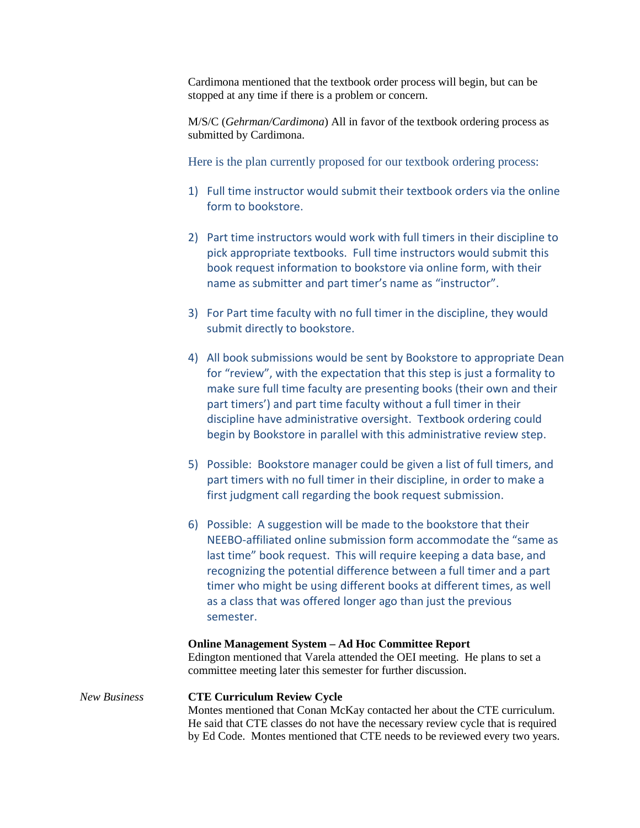Cardimona mentioned that the textbook order process will begin, but can be stopped at any time if there is a problem or concern.

M/S/C (*Gehrman/Cardimona*) All in favor of the textbook ordering process as submitted by Cardimona.

Here is the plan currently proposed for our textbook ordering process:

- 1) Full time instructor would submit their textbook orders via the online form to bookstore.
- 2) Part time instructors would work with full timers in their discipline to pick appropriate textbooks. Full time instructors would submit this book request information to bookstore via online form, with their name as submitter and part timer's name as "instructor".
- 3) For Part time faculty with no full timer in the discipline, they would submit directly to bookstore.
- 4) All book submissions would be sent by Bookstore to appropriate Dean for "review", with the expectation that this step is just a formality to make sure full time faculty are presenting books (their own and their part timers') and part time faculty without a full timer in their discipline have administrative oversight. Textbook ordering could begin by Bookstore in parallel with this administrative review step.
- 5) Possible: Bookstore manager could be given a list of full timers, and part timers with no full timer in their discipline, in order to make a first judgment call regarding the book request submission.
- 6) Possible: A suggestion will be made to the bookstore that their NEEBO-affiliated online submission form accommodate the "same as last time" book request. This will require keeping a data base, and recognizing the potential difference between a full timer and a part timer who might be using different books at different times, as well as a class that was offered longer ago than just the previous semester.

#### **Online Management System – Ad Hoc Committee Report**

Edington mentioned that Varela attended the OEI meeting. He plans to set a committee meeting later this semester for further discussion.

## *New Business* **CTE Curriculum Review Cycle** Montes mentioned that Conan McKay contacted her about the CTE curriculum. He said that CTE classes do not have the necessary review cycle that is required by Ed Code. Montes mentioned that CTE needs to be reviewed every two years.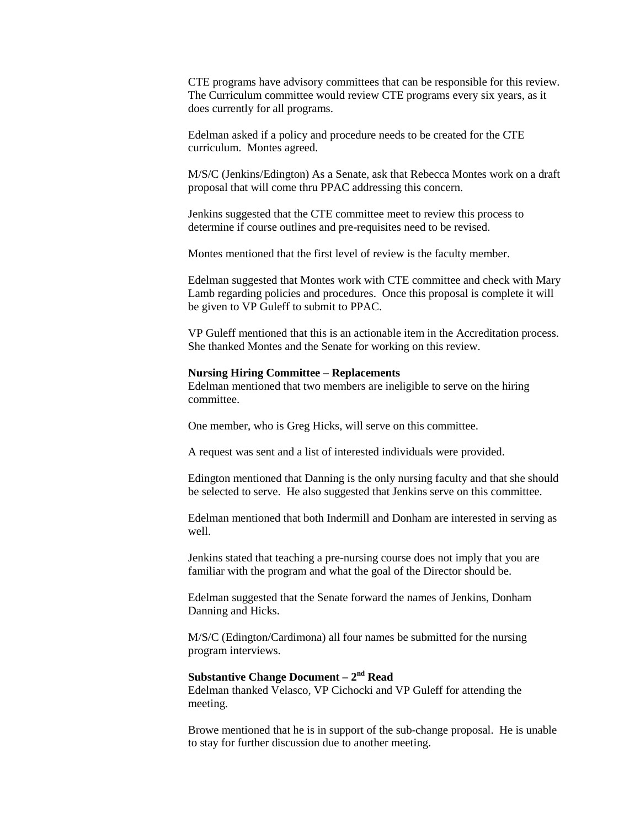CTE programs have advisory committees that can be responsible for this review. The Curriculum committee would review CTE programs every six years, as it does currently for all programs.

Edelman asked if a policy and procedure needs to be created for the CTE curriculum. Montes agreed.

M/S/C (Jenkins/Edington) As a Senate, ask that Rebecca Montes work on a draft proposal that will come thru PPAC addressing this concern.

Jenkins suggested that the CTE committee meet to review this process to determine if course outlines and pre-requisites need to be revised.

Montes mentioned that the first level of review is the faculty member.

Edelman suggested that Montes work with CTE committee and check with Mary Lamb regarding policies and procedures. Once this proposal is complete it will be given to VP Guleff to submit to PPAC.

VP Guleff mentioned that this is an actionable item in the Accreditation process. She thanked Montes and the Senate for working on this review.

#### **Nursing Hiring Committee – Replacements**

Edelman mentioned that two members are ineligible to serve on the hiring committee.

One member, who is Greg Hicks, will serve on this committee.

A request was sent and a list of interested individuals were provided.

Edington mentioned that Danning is the only nursing faculty and that she should be selected to serve. He also suggested that Jenkins serve on this committee.

Edelman mentioned that both Indermill and Donham are interested in serving as well.

Jenkins stated that teaching a pre-nursing course does not imply that you are familiar with the program and what the goal of the Director should be.

Edelman suggested that the Senate forward the names of Jenkins, Donham Danning and Hicks.

M/S/C (Edington/Cardimona) all four names be submitted for the nursing program interviews.

## **Substantive Change Document – 2nd Read**

Edelman thanked Velasco, VP Cichocki and VP Guleff for attending the meeting.

Browe mentioned that he is in support of the sub-change proposal. He is unable to stay for further discussion due to another meeting.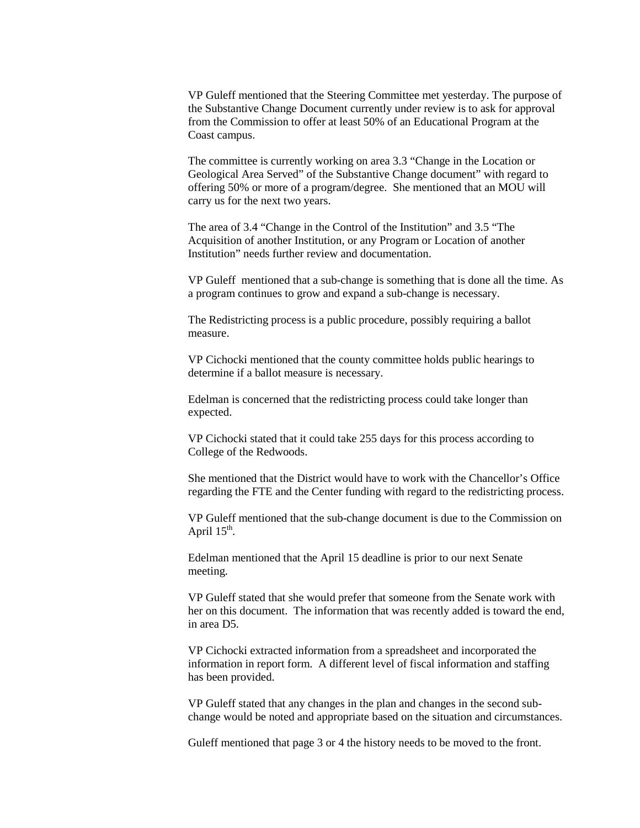VP Guleff mentioned that the Steering Committee met yesterday. The purpose of the Substantive Change Document currently under review is to ask for approval from the Commission to offer at least 50% of an Educational Program at the Coast campus.

The committee is currently working on area 3.3 "Change in the Location or Geological Area Served" of the Substantive Change document" with regard to offering 50% or more of a program/degree. She mentioned that an MOU will carry us for the next two years.

The area of 3.4 "Change in the Control of the Institution" and 3.5 "The Acquisition of another Institution, or any Program or Location of another Institution" needs further review and documentation.

VP Guleff mentioned that a sub-change is something that is done all the time. As a program continues to grow and expand a sub-change is necessary.

The Redistricting process is a public procedure, possibly requiring a ballot measure.

VP Cichocki mentioned that the county committee holds public hearings to determine if a ballot measure is necessary.

Edelman is concerned that the redistricting process could take longer than expected.

VP Cichocki stated that it could take 255 days for this process according to College of the Redwoods.

She mentioned that the District would have to work with the Chancellor's Office regarding the FTE and the Center funding with regard to the redistricting process.

VP Guleff mentioned that the sub-change document is due to the Commission on April  $15<sup>th</sup>$ .

Edelman mentioned that the April 15 deadline is prior to our next Senate meeting.

VP Guleff stated that she would prefer that someone from the Senate work with her on this document. The information that was recently added is toward the end, in area D5.

VP Cichocki extracted information from a spreadsheet and incorporated the information in report form. A different level of fiscal information and staffing has been provided.

VP Guleff stated that any changes in the plan and changes in the second subchange would be noted and appropriate based on the situation and circumstances.

Guleff mentioned that page 3 or 4 the history needs to be moved to the front.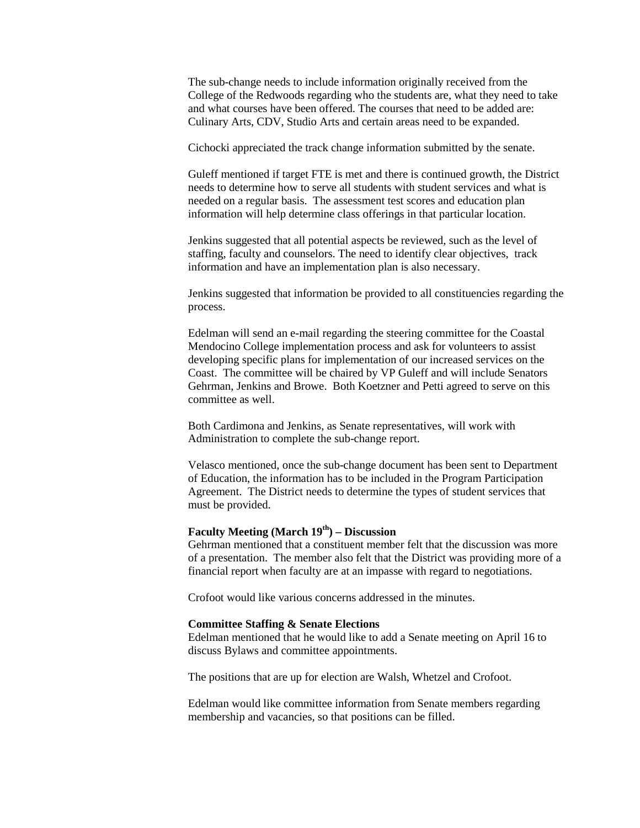The sub-change needs to include information originally received from the College of the Redwoods regarding who the students are, what they need to take and what courses have been offered. The courses that need to be added are: Culinary Arts, CDV, Studio Arts and certain areas need to be expanded.

Cichocki appreciated the track change information submitted by the senate.

Guleff mentioned if target FTE is met and there is continued growth, the District needs to determine how to serve all students with student services and what is needed on a regular basis. The assessment test scores and education plan information will help determine class offerings in that particular location.

Jenkins suggested that all potential aspects be reviewed, such as the level of staffing, faculty and counselors. The need to identify clear objectives, track information and have an implementation plan is also necessary.

Jenkins suggested that information be provided to all constituencies regarding the process.

Edelman will send an e-mail regarding the steering committee for the Coastal Mendocino College implementation process and ask for volunteers to assist developing specific plans for implementation of our increased services on the Coast. The committee will be chaired by VP Guleff and will include Senators Gehrman, Jenkins and Browe. Both Koetzner and Petti agreed to serve on this committee as well.

Both Cardimona and Jenkins, as Senate representatives, will work with Administration to complete the sub-change report.

Velasco mentioned, once the sub-change document has been sent to Department of Education, the information has to be included in the Program Participation Agreement. The District needs to determine the types of student services that must be provided.

## **Faculty Meeting (March 19th) – Discussion**

Gehrman mentioned that a constituent member felt that the discussion was more of a presentation. The member also felt that the District was providing more of a financial report when faculty are at an impasse with regard to negotiations.

Crofoot would like various concerns addressed in the minutes.

#### **Committee Staffing & Senate Elections**

Edelman mentioned that he would like to add a Senate meeting on April 16 to discuss Bylaws and committee appointments.

The positions that are up for election are Walsh, Whetzel and Crofoot.

Edelman would like committee information from Senate members regarding membership and vacancies, so that positions can be filled.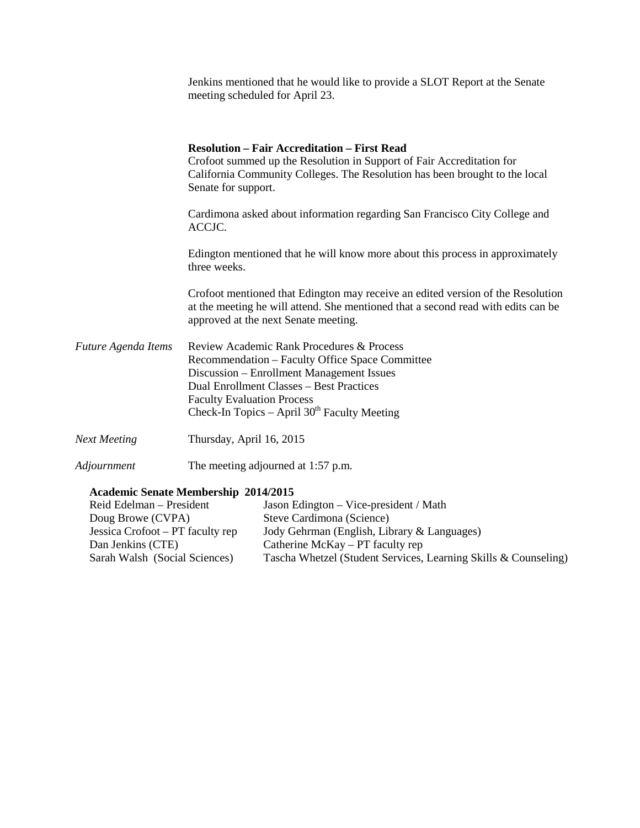|                     | Jenkins mentioned that he would like to provide a SLOT Report at the Senate<br>meeting scheduled for April 23.                                                                                                                                                               |
|---------------------|------------------------------------------------------------------------------------------------------------------------------------------------------------------------------------------------------------------------------------------------------------------------------|
|                     | <b>Resolution – Fair Accreditation – First Read</b><br>Crofoot summed up the Resolution in Support of Fair Accreditation for<br>California Community Colleges. The Resolution has been brought to the local<br>Senate for support.                                           |
|                     | Cardimona asked about information regarding San Francisco City College and<br>ACCJC.                                                                                                                                                                                         |
|                     | Edington mentioned that he will know more about this process in approximately<br>three weeks.                                                                                                                                                                                |
|                     | Crofoot mentioned that Edington may receive an edited version of the Resolution<br>at the meeting he will attend. She mentioned that a second read with edits can be<br>approved at the next Senate meeting.                                                                 |
| Future Agenda Items | Review Academic Rank Procedures & Process<br>Recommendation - Faculty Office Space Committee<br>Discussion - Enrollment Management Issues<br>Dual Enrollment Classes - Best Practices<br><b>Faculty Evaluation Process</b><br>Check-In Topics – April $30th$ Faculty Meeting |
| <b>Next Meeting</b> | Thursday, April 16, 2015                                                                                                                                                                                                                                                     |
| Adjournment         | The meeting adjourned at 1:57 p.m.                                                                                                                                                                                                                                           |

## **Academic Senate Membership 2014/2015**

| Reid Edelman – President         | Jason Edington – Vice-president / Math                          |
|----------------------------------|-----------------------------------------------------------------|
| Doug Browe (CVPA)                | Steve Cardimona (Science)                                       |
| Jessica Crofoot – PT faculty rep | Jody Gehrman (English, Library & Languages)                     |
| Dan Jenkins (CTE)                | Catherine McKay $- PT$ faculty rep                              |
| Sarah Walsh (Social Sciences)    | Tascha Whetzel (Student Services, Learning Skills & Counseling) |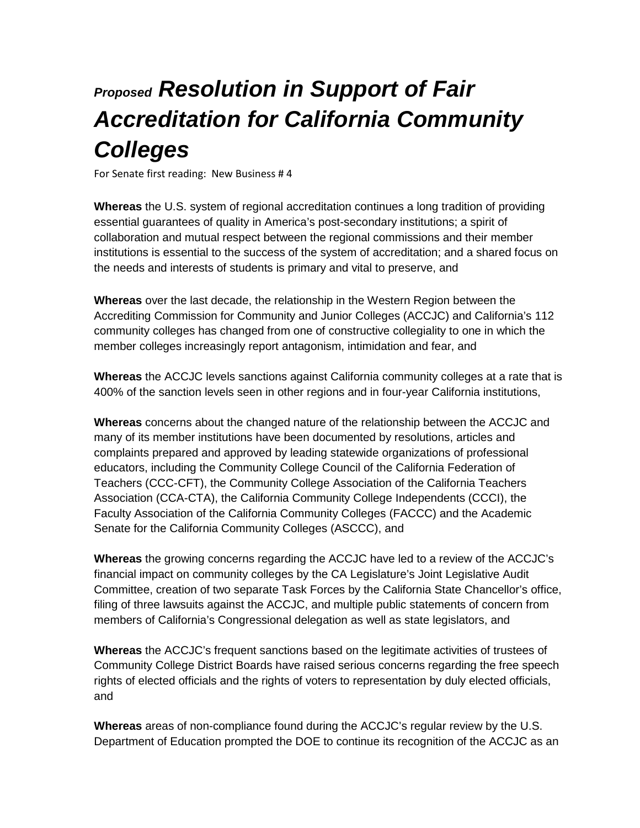# *Proposed Resolution in Support of Fair Accreditation for California Community Colleges*

For Senate first reading: New Business # 4

**Whereas** the U.S. system of regional accreditation continues a long tradition of providing essential guarantees of quality in America's post-secondary institutions; a spirit of collaboration and mutual respect between the regional commissions and their member institutions is essential to the success of the system of accreditation; and a shared focus on the needs and interests of students is primary and vital to preserve, and

**Whereas** over the last decade, the relationship in the Western Region between the Accrediting Commission for Community and Junior Colleges (ACCJC) and California's 112 community colleges has changed from one of constructive collegiality to one in which the member colleges increasingly report antagonism, intimidation and fear, and

**Whereas** the ACCJC levels sanctions against California community colleges at a rate that is 400% of the sanction levels seen in other regions and in four-year California institutions,

**Whereas** concerns about the changed nature of the relationship between the ACCJC and many of its member institutions have been documented by resolutions, articles and complaints prepared and approved by leading statewide organizations of professional educators, including the Community College Council of the California Federation of Teachers (CCC-CFT), the Community College Association of the California Teachers Association (CCA-CTA), the California Community College Independents (CCCI), the Faculty Association of the California Community Colleges (FACCC) and the Academic Senate for the California Community Colleges (ASCCC), and

**Whereas** the growing concerns regarding the ACCJC have led to a review of the ACCJC's financial impact on community colleges by the CA Legislature's Joint Legislative Audit Committee, creation of two separate Task Forces by the California State Chancellor's office, filing of three lawsuits against the ACCJC, and multiple public statements of concern from members of California's Congressional delegation as well as state legislators, and

**Whereas** the ACCJC's frequent sanctions based on the legitimate activities of trustees of Community College District Boards have raised serious concerns regarding the free speech rights of elected officials and the rights of voters to representation by duly elected officials, and

**Whereas** areas of non-compliance found during the ACCJC's regular review by the U.S. Department of Education prompted the DOE to continue its recognition of the ACCJC as an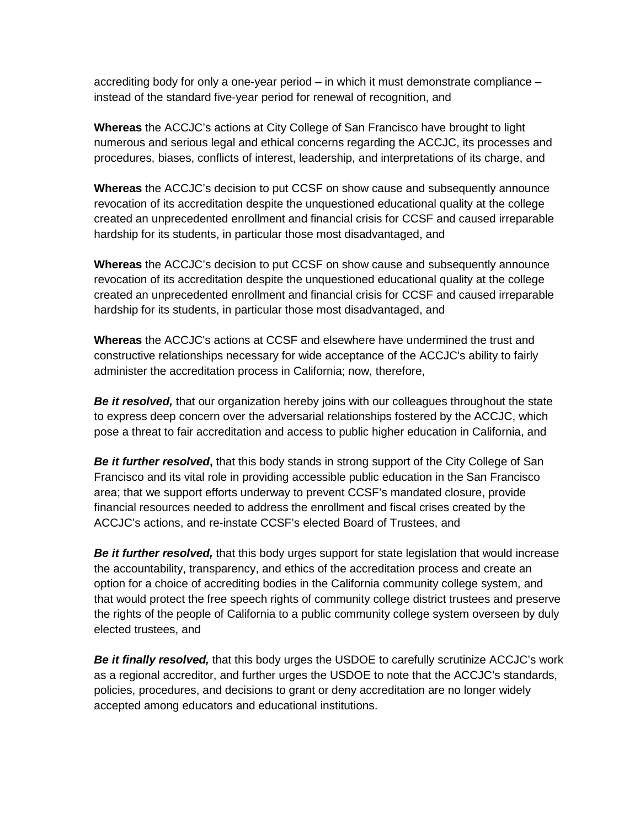accrediting body for only a one-year period – in which it must demonstrate compliance – instead of the standard five-year period for renewal of recognition, and

**Whereas** the ACCJC's actions at City College of San Francisco have brought to light numerous and serious legal and ethical concerns regarding the ACCJC, its processes and procedures, biases, conflicts of interest, leadership, and interpretations of its charge, and

**Whereas** the ACCJC's decision to put CCSF on show cause and subsequently announce revocation of its accreditation despite the unquestioned educational quality at the college created an unprecedented enrollment and financial crisis for CCSF and caused irreparable hardship for its students, in particular those most disadvantaged, and

**Whereas** the ACCJC's decision to put CCSF on show cause and subsequently announce revocation of its accreditation despite the unquestioned educational quality at the college created an unprecedented enrollment and financial crisis for CCSF and caused irreparable hardship for its students, in particular those most disadvantaged, and

**Whereas** the ACCJC's actions at CCSF and elsewhere have undermined the trust and constructive relationships necessary for wide acceptance of the ACCJC's ability to fairly administer the accreditation process in California; now, therefore,

*Be it resolved,* that our organization hereby joins with our colleagues throughout the state to express deep concern over the adversarial relationships fostered by the ACCJC, which pose a threat to fair accreditation and access to public higher education in California, and

**Be it further resolved,** that this body stands in strong support of the City College of San Francisco and its vital role in providing accessible public education in the San Francisco area; that we support efforts underway to prevent CCSF's mandated closure, provide financial resources needed to address the enrollment and fiscal crises created by the ACCJC's actions, and re-instate CCSF's elected Board of Trustees, and

**Be it further resolved,** that this body urges support for state legislation that would increase the accountability, transparency, and ethics of the accreditation process and create an option for a choice of accrediting bodies in the California community college system, and that would protect the free speech rights of community college district trustees and preserve the rights of the people of California to a public community college system overseen by duly elected trustees, and

*Be it finally resolved,* that this body urges the USDOE to carefully scrutinize ACCJC's work as a regional accreditor, and further urges the USDOE to note that the ACCJC's standards, policies, procedures, and decisions to grant or deny accreditation are no longer widely accepted among educators and educational institutions.